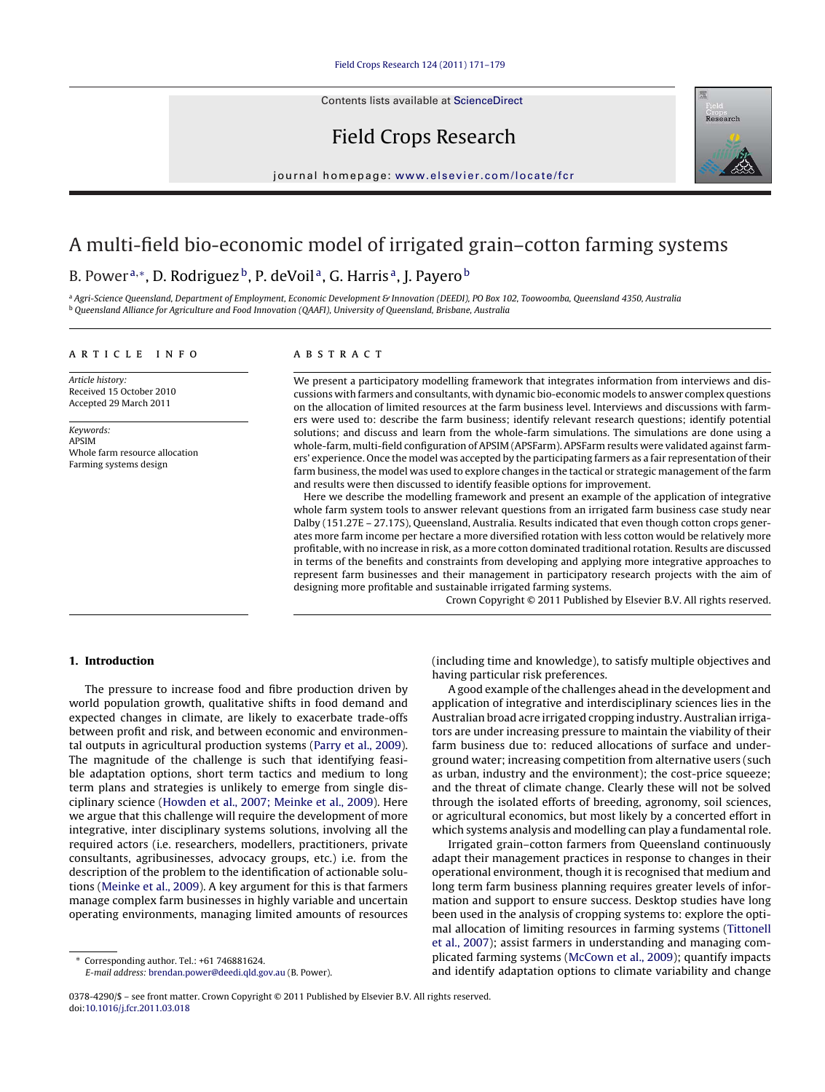Contents lists available at [ScienceDirect](http://www.sciencedirect.com/science/journal/03784290)

# Field Crops Research



journal homepage: [www.elsevier.com/locate/fcr](http://www.elsevier.com/locate/fcr)

# A multi-field bio-economic model of irrigated grain–cotton farming systems

## B. Power<sup>a,∗</sup>, D. Rodriguez<sup>b</sup>, P. deVoil<sup>a</sup>, G. Harris<sup>a</sup>, J. Payero<sup>b</sup>

a Agri-Science Queensland, Department of Employment, Economic Development & Innovation (DEEDI), PO Box 102, Toowoomba, Queensland 4350, Australia <sup>b</sup> Queensland Alliance for Agriculture and Food Innovation (QAAFI), University of Queensland, Brisbane, Australia

#### article info

Article history: Received 15 October 2010 Accepted 29 March 2011

Keywords: APSIM Whole farm resource allocation Farming systems design

## ABSTRACT

We present a participatory modelling framework that integrates information from interviews and discussions with farmers and consultants, with dynamic bio-economic models to answer complex questions on the allocation of limited resources at the farm business level. Interviews and discussions with farmers were used to: describe the farm business; identify relevant research questions; identify potential solutions; and discuss and learn from the whole-farm simulations. The simulations are done using a whole-farm, multi-field configuration of APSIM (APSFarm). APSFarm results were validated against farmers' experience. Once the model was accepted by the participating farmers as a fair representation of their farm business, the model was used to explore changes in the tactical or strategic management of the farm and results were then discussed to identify feasible options for improvement.

Here we describe the modelling framework and present an example of the application of integrative whole farm system tools to answer relevant questions from an irrigated farm business case study near Dalby (151.27E – 27.17S), Queensland, Australia. Results indicated that even though cotton crops generates more farm income per hectare a more diversified rotation with less cotton would be relatively more profitable, with no increase in risk, as a more cotton dominated traditional rotation. Results are discussed in terms of the benefits and constraints from developing and applying more integrative approaches to represent farm businesses and their management in participatory research projects with the aim of designing more profitable and sustainable irrigated farming systems.

Crown Copyright © 2011 Published by Elsevier B.V. All rights reserved.

#### **1. Introduction**

The pressure to increase food and fibre production driven by world population growth, qualitative shifts in food demand and expected changes in climate, are likely to exacerbate trade-offs between profit and risk, and between economic and environmental outputs in agricultural production systems [\(Parry et al., 2009\).](#page-8-0) The magnitude of the challenge is such that identifying feasible adaptation options, short term tactics and medium to long term plans and strategies is unlikely to emerge from single disciplinary science [\(Howden et al., 2007; Meinke et al., 2009\).](#page-7-0) Here we argue that this challenge will require the development of more integrative, inter disciplinary systems solutions, involving all the required actors (i.e. researchers, modellers, practitioners, private consultants, agribusinesses, advocacy groups, etc.) i.e. from the description of the problem to the identification of actionable solutions ([Meinke et al., 2009\).](#page-7-0) A key argument for this is that farmers manage complex farm businesses in highly variable and uncertain operating environments, managing limited amounts of resources

E-mail address: [brendan.power@deedi.qld.gov.au](mailto:brendan.power@deedi.qld.gov.au) (B. Power).

(including time and knowledge), to satisfy multiple objectives and having particular risk preferences.

A good example of the challenges ahead in the development and application of integrative and interdisciplinary sciences lies in the Australian broad acre irrigated cropping industry. Australian irrigators are under increasing pressure to maintain the viability of their farm business due to: reduced allocations of surface and underground water; increasing competition from alternative users (such as urban, industry and the environment); the cost-price squeeze; and the threat of climate change. Clearly these will not be solved through the isolated efforts of breeding, agronomy, soil sciences, or agricultural economics, but most likely by a concerted effort in which systems analysis and modelling can play a fundamental role.

Irrigated grain–cotton farmers from Queensland continuously adapt their management practices in response to changes in their operational environment, though it is recognised that medium and long term farm business planning requires greater levels of information and support to ensure success. Desktop studies have long been used in the analysis of cropping systems to: explore the optimal allocation of limiting resources in farming systems [\(Tittonell](#page-8-0) [et al., 2007\);](#page-8-0) assist farmers in understanding and managing complicated farming systems ([McCown et al., 2009\);](#page-7-0) quantify impacts and identify adaptation options to climate variability and change

<sup>∗</sup> Corresponding author. Tel.: +61 746881624.

<sup>0378-4290/\$ –</sup> see front matter. Crown Copyright © 2011 Published by Elsevier B.V. All rights reserved. doi:[10.1016/j.fcr.2011.03.018](dx.doi.org/10.1016/j.fcr.2011.03.018)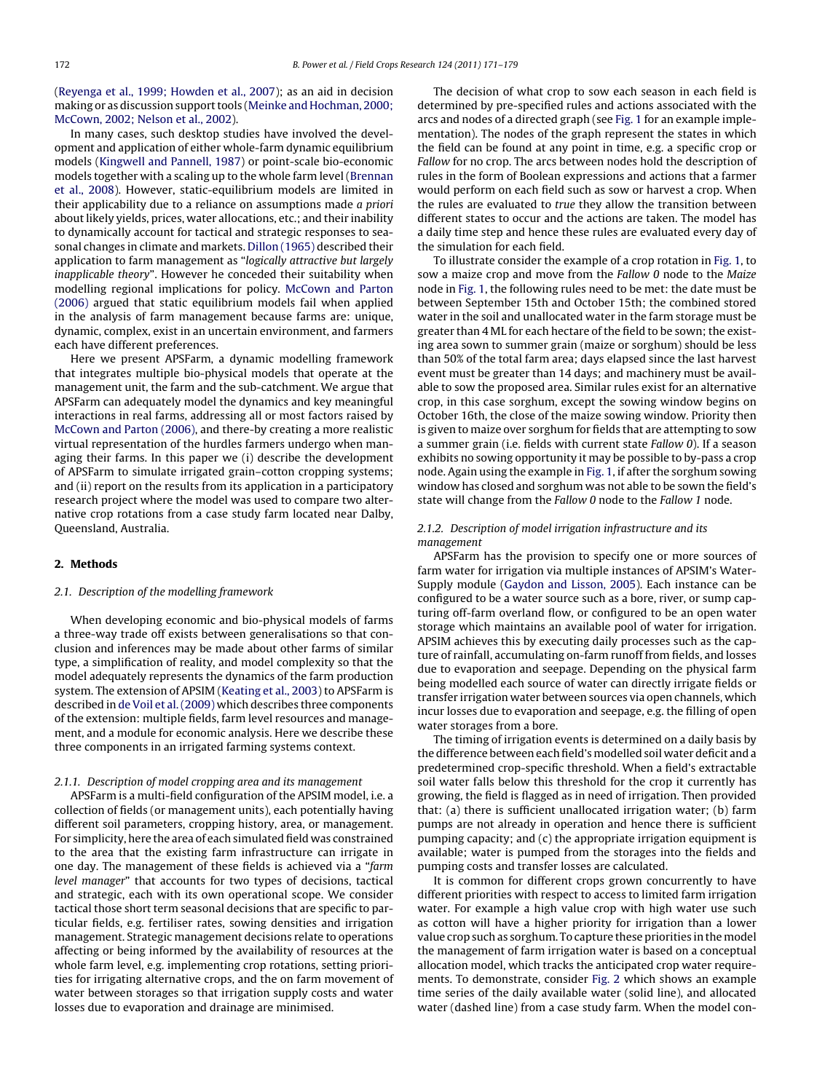([Reyenga et al., 1999; Howden et al., 2007\);](#page-8-0) as an aid in decision making or as discussion support tools ([Meinke and Hochman, 2000;](#page-7-0) [McCown, 2002; Nelson et al., 2002\).](#page-7-0)

In many cases, such desktop studies have involved the development and application of either whole-farm dynamic equilibrium models [\(Kingwell and Pannell, 1987\)](#page-7-0) or point-scale bio-economic models together with a scaling up to the whole farm level [\(Brennan](#page-7-0) [et al., 2008\).](#page-7-0) However, static-equilibrium models are limited in their applicability due to a reliance on assumptions made a priori about likely yields, prices, water allocations, etc.; and their inability to dynamically account for tactical and strategic responses to seasonal changes in climate and markets. [Dillon \(1965\)](#page-7-0) described their application to farm management as "logically attractive but largely inapplicable theory". However he conceded their suitability when modelling regional implications for policy. [McCown and Parton](#page-7-0) [\(2006\)](#page-7-0) argued that static equilibrium models fail when applied in the analysis of farm management because farms are: unique, dynamic, complex, exist in an uncertain environment, and farmers each have different preferences.

Here we present APSFarm, a dynamic modelling framework that integrates multiple bio-physical models that operate at the management unit, the farm and the sub-catchment. We argue that APSFarm can adequately model the dynamics and key meaningful interactions in real farms, addressing all or most factors raised by [McCown and Parton \(2006\), a](#page-7-0)nd there-by creating a more realistic virtual representation of the hurdles farmers undergo when managing their farms. In this paper we (i) describe the development of APSFarm to simulate irrigated grain–cotton cropping systems; and (ii) report on the results from its application in a participatory research project where the model was used to compare two alternative crop rotations from a case study farm located near Dalby, Queensland, Australia.

## **2. Methods**

#### 2.1. Description of the modelling framework

When developing economic and bio-physical models of farms a three-way trade off exists between generalisations so that conclusion and inferences may be made about other farms of similar type, a simplification of reality, and model complexity so that the model adequately represents the dynamics of the farm production system. The extension of APSIM ([Keating et al., 2003\)](#page-7-0) to APSFarm is described in [de Voil et al. \(2009\)](#page-7-0) which describes three components of the extension: multiple fields, farm level resources and management, and a module for economic analysis. Here we describe these three components in an irrigated farming systems context.

## 2.1.1. Description of model cropping area and its management

APSFarm is a multi-field configuration of the APSIM model, i.e. a collection of fields (or management units), each potentially having different soil parameters, cropping history, area, or management. For simplicity, here the area of each simulated field was constrained to the area that the existing farm infrastructure can irrigate in one day. The management of these fields is achieved via a "farm level manager" that accounts for two types of decisions, tactical and strategic, each with its own operational scope. We consider tactical those short term seasonal decisions that are specific to particular fields, e.g. fertiliser rates, sowing densities and irrigation management. Strategic management decisions relate to operations affecting or being informed by the availability of resources at the whole farm level, e.g. implementing crop rotations, setting priorities for irrigating alternative crops, and the on farm movement of water between storages so that irrigation supply costs and water losses due to evaporation and drainage are minimised.

The decision of what crop to sow each season in each field is determined by pre-specified rules and actions associated with the arcs and nodes of a directed graph (see [Fig. 1](#page-2-0) for an example implementation). The nodes of the graph represent the states in which the field can be found at any point in time, e.g. a specific crop or Fallow for no crop. The arcs between nodes hold the description of rules in the form of Boolean expressions and actions that a farmer would perform on each field such as sow or harvest a crop. When the rules are evaluated to true they allow the transition between different states to occur and the actions are taken. The model has a daily time step and hence these rules are evaluated every day of the simulation for each field.

To illustrate consider the example of a crop rotation in [Fig. 1, t](#page-2-0)o sow a maize crop and move from the Fallow 0 node to the Maize node in [Fig. 1, t](#page-2-0)he following rules need to be met: the date must be between September 15th and October 15th; the combined stored water in the soil and unallocated water in the farm storage must be greater than 4 ML for each hectare of the field to be sown; the existing area sown to summer grain (maize or sorghum) should be less than 50% of the total farm area; days elapsed since the last harvest event must be greater than 14 days; and machinery must be available to sow the proposed area. Similar rules exist for an alternative crop, in this case sorghum, except the sowing window begins on October 16th, the close of the maize sowing window. Priority then is given to maize over sorghum for fields that are attempting to sow a summer grain (i.e. fields with current state Fallow 0). If a season exhibits no sowing opportunity it may be possible to by-pass a crop node. Again using the example in [Fig. 1, i](#page-2-0)f after the sorghum sowing window has closed and sorghum was not able to be sown the field's state will change from the Fallow 0 node to the Fallow 1 node.

### 2.1.2. Description of model irrigation infrastructure and its management

APSFarm has the provision to specify one or more sources of farm water for irrigation via multiple instances of APSIM's Water-Supply module ([Gaydon and Lisson, 2005\).](#page-7-0) Each instance can be configured to be a water source such as a bore, river, or sump capturing off-farm overland flow, or configured to be an open water storage which maintains an available pool of water for irrigation. APSIM achieves this by executing daily processes such as the capture of rainfall, accumulating on-farm runoff from fields, and losses due to evaporation and seepage. Depending on the physical farm being modelled each source of water can directly irrigate fields or transfer irrigation water between sources via open channels, which incur losses due to evaporation and seepage, e.g. the filling of open water storages from a bore.

The timing of irrigation events is determined on a daily basis by the difference between each field's modelled soil water deficit and a predetermined crop-specific threshold. When a field's extractable soil water falls below this threshold for the crop it currently has growing, the field is flagged as in need of irrigation. Then provided that: (a) there is sufficient unallocated irrigation water; (b) farm pumps are not already in operation and hence there is sufficient pumping capacity; and (c) the appropriate irrigation equipment is available; water is pumped from the storages into the fields and pumping costs and transfer losses are calculated.

It is common for different crops grown concurrently to have different priorities with respect to access to limited farm irrigation water. For example a high value crop with high water use such as cotton will have a higher priority for irrigation than a lower value crop such as sorghum. To capture these priorities in the model the management of farm irrigation water is based on a conceptual allocation model, which tracks the anticipated crop water requirements. To demonstrate, consider [Fig. 2](#page-2-0) which shows an example time series of the daily available water (solid line), and allocated water (dashed line) from a case study farm. When the model con-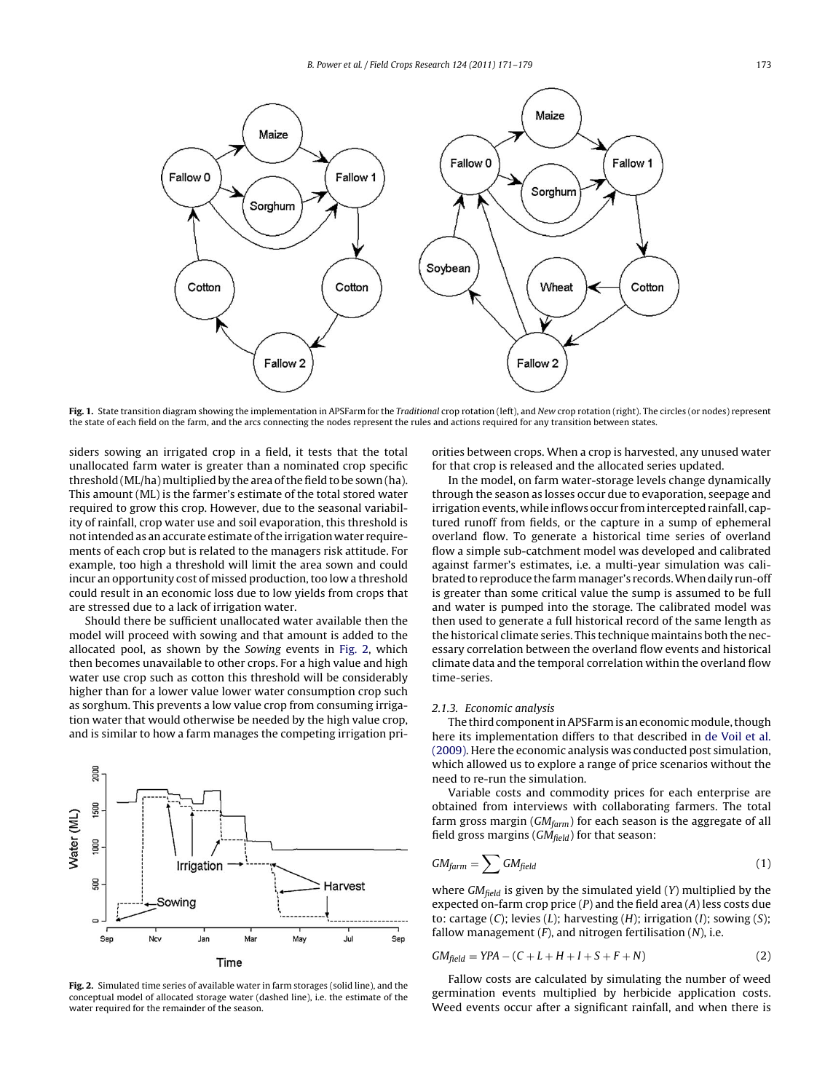<span id="page-2-0"></span>

**Fig. 1.** State transition diagram showing the implementation in APSFarm for the Traditional crop rotation (left), and New crop rotation (right). The circles (or nodes) represent the state of each field on the farm, and the arcs connecting the nodes represent the rules and actions required for any transition between states.

siders sowing an irrigated crop in a field, it tests that the total unallocated farm water is greater than a nominated crop specific threshold (ML/ha) multiplied by the area of the field to be sown (ha). This amount (ML) is the farmer's estimate of the total stored water required to grow this crop. However, due to the seasonal variability of rainfall, crop water use and soil evaporation, this threshold is not intended as an accurate estimate of the irrigation water requirements of each crop but is related to the managers risk attitude. For example, too high a threshold will limit the area sown and could incur an opportunity cost of missed production, too low a threshold could result in an economic loss due to low yields from crops that are stressed due to a lack of irrigation water.

Should there be sufficient unallocated water available then the model will proceed with sowing and that amount is added to the allocated pool, as shown by the Sowing events in Fig. 2, which then becomes unavailable to other crops. For a high value and high water use crop such as cotton this threshold will be considerably higher than for a lower value lower water consumption crop such as sorghum. This prevents a low value crop from consuming irrigation water that would otherwise be needed by the high value crop, and is similar to how a farm manages the competing irrigation pri-



**Fig. 2.** Simulated time series of available water in farm storages (solid line), and the conceptual model of allocated storage water (dashed line), i.e. the estimate of the water required for the remainder of the season.

orities between crops. When a crop is harvested, any unused water for that crop is released and the allocated series updated.

In the model, on farm water-storage levels change dynamically through the season as losses occur due to evaporation, seepage and irrigation events, while inflows occur from intercepted rainfall, captured runoff from fields, or the capture in a sump of ephemeral overland flow. To generate a historical time series of overland flow a simple sub-catchment model was developed and calibrated against farmer's estimates, i.e. a multi-year simulation was calibrated to reproduce the farmmanager's records.When daily run-off is greater than some critical value the sump is assumed to be full and water is pumped into the storage. The calibrated model was then used to generate a full historical record of the same length as the historical climate series. This technique maintains both the necessary correlation between the overland flow events and historical climate data and the temporal correlation within the overland flow time-series.

#### 2.1.3. Economic analysis

The third component in APSFarm is an economicmodule, though here its implementation differs to that described in [de Voil et al.](#page-7-0) [\(2009\). H](#page-7-0)ere the economic analysis was conducted post simulation, which allowed us to explore a range of price scenarios without the need to re-run the simulation.

Variable costs and commodity prices for each enterprise are obtained from interviews with collaborating farmers. The total farm gross margin ( $GM<sub>farm</sub>$ ) for each season is the aggregate of all field gross margins ( $GM_{field}$ ) for that season:

$$
GM_{\text{farm}} = \sum GM_{\text{field}} \tag{1}
$$

where  $GM_{field}$  is given by the simulated yield (Y) multiplied by the expected on-farm crop price  $(P)$  and the field area  $(A)$  less costs due to: cartage  $(C)$ ; levies  $(L)$ ; harvesting  $(H)$ ; irrigation  $(I)$ ; sowing  $(S)$ ; fallow management  $(F)$ , and nitrogen fertilisation  $(N)$ , i.e.

$$
GM_{field} = YPA - (C + L + H + I + S + F + N)
$$
\n<sup>(2)</sup>

Fallow costs are calculated by simulating the number of weed germination events multiplied by herbicide application costs. Weed events occur after a significant rainfall, and when there is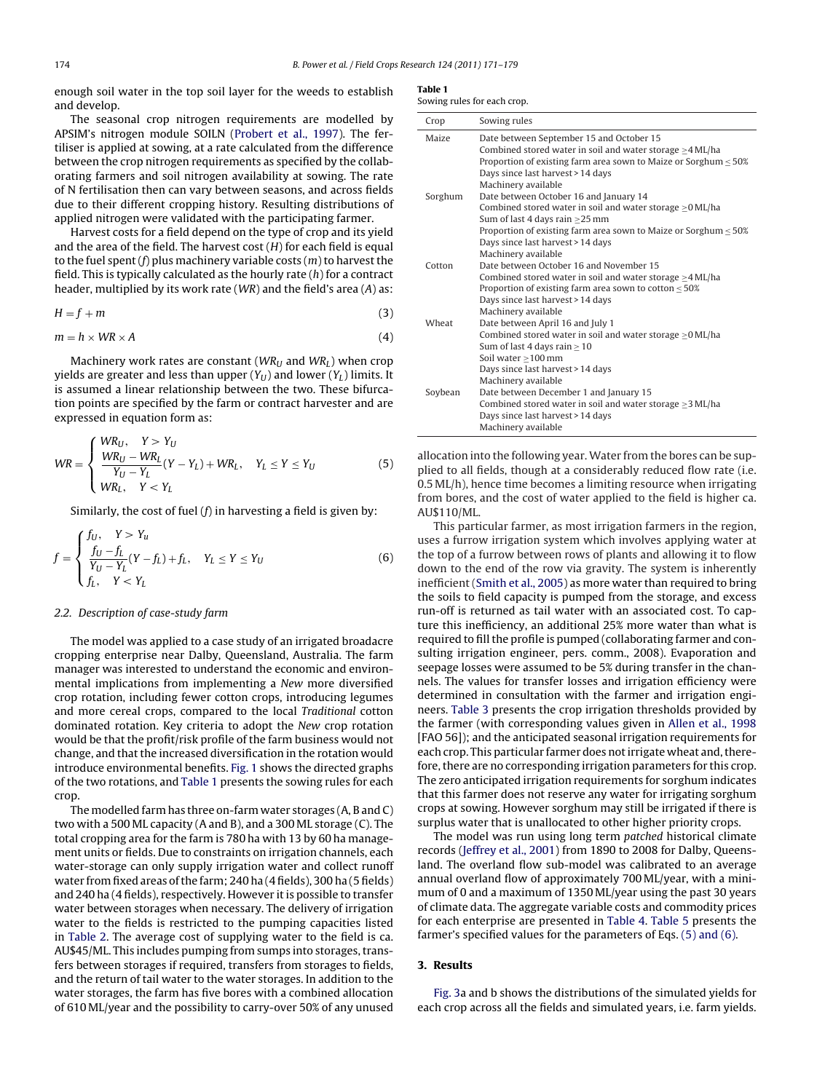<span id="page-3-0"></span>enough soil water in the top soil layer for the weeds to establish and develop.

The seasonal crop nitrogen requirements are modelled by APSIM's nitrogen module SOILN ([Probert et al., 1997\).](#page-8-0) The fertiliser is applied at sowing, at a rate calculated from the difference between the crop nitrogen requirements as specified by the collaborating farmers and soil nitrogen availability at sowing. The rate of N fertilisation then can vary between seasons, and across fields due to their different cropping history. Resulting distributions of applied nitrogen were validated with the participating farmer.

Harvest costs for a field depend on the type of crop and its yield and the area of the field. The harvest cost  $(H)$  for each field is equal to the fuel spent  $(f)$  plus machinery variable costs  $(m)$  to harvest the field. This is typically calculated as the hourly rate  $(h)$  for a contract header, multiplied by its work rate (WR) and the field's area (A) as:

$$
H = f + m \tag{3}
$$

$$
m = h \times WR \times A \tag{4}
$$

Machinery work rates are constant ( $WR_U$  and  $WR_L$ ) when crop yields are greater and less than upper  $(Y_U)$  and lower  $(Y_L)$  limits. It is assumed a linear relationship between the two. These bifurcation points are specified by the farm or contract harvester and are expressed in equation form as:

$$
WR = \begin{cases} WR_U, & Y > Y_U \\ \frac{WR_U - WR_L}{Y_U - Y_L} (Y - Y_L) + WR_L, & Y_L \le Y \le Y_U \\ WR_L, & Y < Y_L \end{cases}
$$
(5)

Similarly, the cost of fuel  $(f)$  in harvesting a field is given by:

$$
f = \begin{cases} f_U, & Y > Y_u \\ \frac{f_U - f_L}{Y_U - Y_L}(Y - f_L) + f_L, & Y_L \le Y \le Y_U \\ f_L, & Y < Y_L \end{cases}
$$
(6)

#### 2.2. Description of case-study farm

The model was applied to a case study of an irrigated broadacre cropping enterprise near Dalby, Queensland, Australia. The farm manager was interested to understand the economic and environmental implications from implementing a New more diversified crop rotation, including fewer cotton crops, introducing legumes and more cereal crops, compared to the local Traditional cotton dominated rotation. Key criteria to adopt the New crop rotation would be that the profit/risk profile of the farm business would not change, and that the increased diversification in the rotation would introduce environmental benefits. [Fig. 1](#page-2-0) shows the directed graphs of the two rotations, and Table 1 presents the sowing rules for each crop.

The modelled farm has three on-farm water storages (A, B and C) two with a 500 ML capacity (A and B), and a 300 ML storage (C). The total cropping area for the farm is 780 ha with 13 by 60 ha management units or fields. Due to constraints on irrigation channels, each water-storage can only supply irrigation water and collect runoff water from fixed areas of the farm; 240 ha (4 fields), 300 ha (5 fields) and 240 ha (4 fields), respectively. However it is possible to transfer water between storages when necessary. The delivery of irrigation water to the fields is restricted to the pumping capacities listed in [Table 2.](#page-4-0) The average cost of supplying water to the field is ca. AU\$45/ML. This includes pumping from sumps into storages, transfers between storages if required, transfers from storages to fields, and the return of tail water to the water storages. In addition to the water storages, the farm has five bores with a combined allocation of 610 ML/year and the possibility to carry-over 50% of any unused

| Crop    | Sowing rules                                                          |
|---------|-----------------------------------------------------------------------|
| Maize   | Date between September 15 and October 15                              |
|         | Combined stored water in soil and water storage $\geq$ 4 ML/ha        |
|         | Proportion of existing farm area sown to Maize or Sorghum $\leq 50\%$ |
|         | Days since last harvest > 14 days                                     |
|         | Machinery available                                                   |
| Sorghum | Date between October 16 and January 14                                |
|         | Combined stored water in soil and water storage $\geq$ 0 ML/ha        |
|         | Sum of last 4 days rain $\geq$ 25 mm                                  |
|         | Proportion of existing farm area sown to Maize or Sorghum $\leq 50\%$ |
|         | Days since last harvest > 14 days                                     |
|         | Machinery available                                                   |
| Cotton  | Date between October 16 and November 15                               |
|         | Combined stored water in soil and water storage $\geq$ 4 ML/ha        |
|         | Proportion of existing farm area sown to cotton $\leq 50\%$           |
|         | Days since last harvest > 14 days                                     |
|         | Machinery available                                                   |
| Wheat   | Date between April 16 and July 1                                      |
|         | Combined stored water in soil and water storage $\geq$ 0 ML/ha        |
|         | Sum of last 4 days rain $\geq 10$                                     |
|         | Soil water >100 mm                                                    |
|         | Days since last harvest > 14 days                                     |
|         | Machinery available                                                   |
| Soybean | Date between December 1 and January 15                                |
|         | Combined stored water in soil and water storage $>3$ ML/ha            |

allocation into the following year. Water from the bores can be supplied to all fields, though at a considerably reduced flow rate (i.e. 0.5 ML/h), hence time becomes a limiting resource when irrigating from bores, and the cost of water applied to the field is higher ca. AU\$110/ML.

Days since last harvest > 14 days Machinery available

This particular farmer, as most irrigation farmers in the region, uses a furrow irrigation system which involves applying water at the top of a furrow between rows of plants and allowing it to flow down to the end of the row via gravity. The system is inherently inefficient ([Smith et al., 2005\) a](#page-8-0)s more water than required to bring the soils to field capacity is pumped from the storage, and excess run-off is returned as tail water with an associated cost. To capture this inefficiency, an additional 25% more water than what is required to fill the profile is pumped (collaborating farmer and consulting irrigation engineer, pers. comm., 2008). Evaporation and seepage losses were assumed to be 5% during transfer in the channels. The values for transfer losses and irrigation efficiency were determined in consultation with the farmer and irrigation engineers. [Table 3](#page-4-0) presents the crop irrigation thresholds provided by the farmer (with corresponding values given in [Allen et al., 1998](#page-7-0) [FAO 56]); and the anticipated seasonal irrigation requirements for each crop. This particular farmer does not irrigate wheat and, therefore, there are no corresponding irrigation parameters for this crop. The zero anticipated irrigation requirements for sorghum indicates that this farmer does not reserve any water for irrigating sorghum crops at sowing. However sorghum may still be irrigated if there is surplus water that is unallocated to other higher priority crops.

The model was run using long term patched historical climate records [\(Jeffrey et al., 2001\) f](#page-7-0)rom 1890 to 2008 for Dalby, Queensland. The overland flow sub-model was calibrated to an average annual overland flow of approximately 700 ML/year, with a minimum of 0 and a maximum of 1350 ML/year using the past 30 years of climate data. The aggregate variable costs and commodity prices for each enterprise are presented in [Table 4.](#page-4-0) [Table 5](#page-4-0) presents the farmer's specified values for the parameters of Eqs. (5) and (6).

#### **3. Results**

[Fig. 3a](#page-4-0) and b shows the distributions of the simulated yields for each crop across all the fields and simulated years, i.e. farm yields.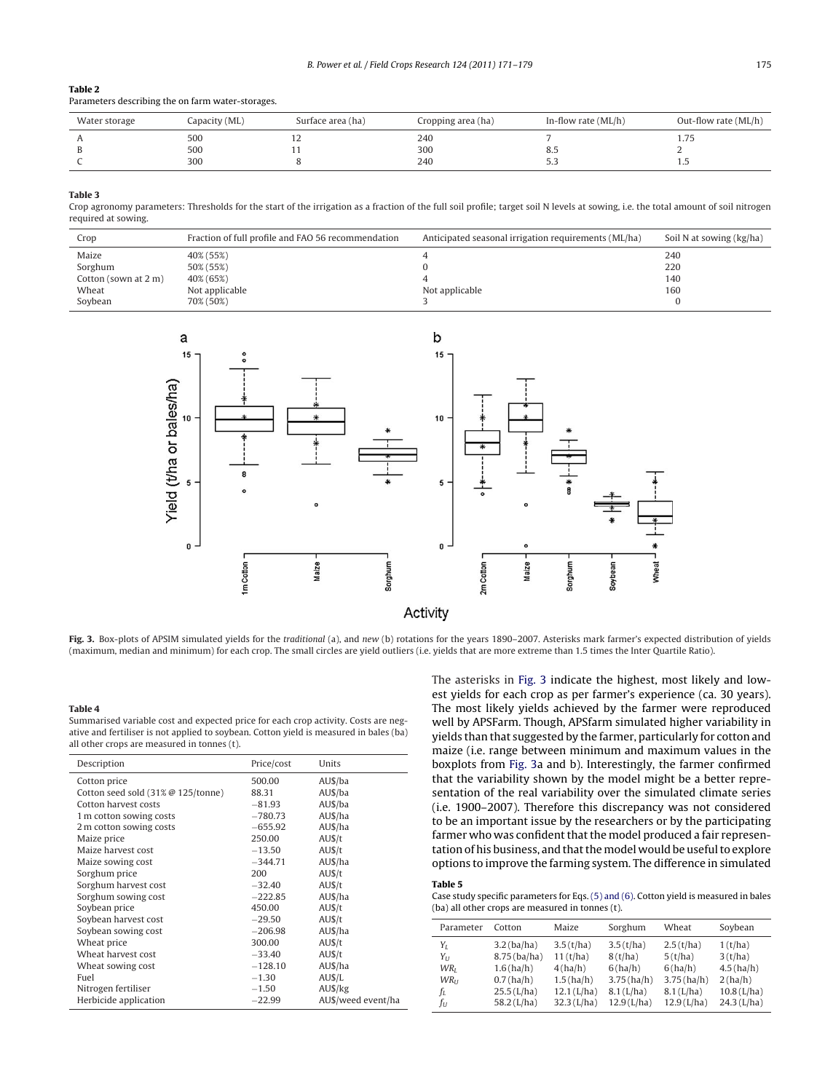### <span id="page-4-0"></span>**Table 2**

Parameters describing the on farm water-storages.

| Water storage | Capacity (ML) | Surface area (ha) | Cropping area (ha) | In-flow rate $(ML/h)$ | Out-flow rate (ML/h) |
|---------------|---------------|-------------------|--------------------|-----------------------|----------------------|
|               | 500           | - 2               | 240                |                       |                      |
| υ             | 500           |                   | 300                | 6.J                   |                      |
|               | 300           |                   | 240                |                       |                      |

#### **Table 3**

Crop agronomy parameters: Thresholds for the start of the irrigation as a fraction of the full soil profile; target soil N levels at sowing, i.e. the total amount of soil nitrogen required at sowing.

| Crop                 | Fraction of full profile and FAO 56 recommendation | Anticipated seasonal irrigation requirements (ML/ha) | Soil N at sowing (kg/ha) |
|----------------------|----------------------------------------------------|------------------------------------------------------|--------------------------|
| Maize                | 40% (55%)                                          |                                                      | 240                      |
| Sorghum              | 50% (55%)                                          |                                                      | 220                      |
| Cotton (sown at 2 m) | 40% (65%)                                          |                                                      | 140                      |
| Wheat                | Not applicable                                     | Not applicable                                       | 160                      |
| Soybean              | 70% (50%)                                          |                                                      |                          |



Fig. 3. Box-plots of APSIM simulated yields for the traditional (a), and new (b) rotations for the years 1890–2007. Asterisks mark farmer's expected distribution of yields (maximum, median and minimum) for each crop. The small circles are yield outliers (i.e. yields that are more extreme than 1.5 times the Inter Quartile Ratio).

#### **Table 4**

Summarised variable cost and expected price for each crop activity. Costs are negative and fertiliser is not applied to soybean. Cotton yield is measured in bales (ba) all other crops are measured in tonnes (t).

| Description                             | Price/cost | Units              |
|-----------------------------------------|------------|--------------------|
| Cotton price                            | 500.00     | AU\$/ba            |
| Cotton seed sold $(31\% \ @ 125/tonne)$ | 88.31      | AU\$/ba            |
| Cotton harvest costs                    | $-81.93$   | AU\$/ba            |
| 1 m cotton sowing costs                 | $-780.73$  | AU\$/ha            |
| 2 m cotton sowing costs                 | $-655.92$  | AU\$/ha            |
| Maize price                             | 250.00     | AUS/t              |
| Maize harvest cost                      | $-13.50$   | AUS/t              |
| Maize sowing cost                       | $-344.71$  | AU\$/ha            |
| Sorghum price                           | 200        | AUS/t              |
| Sorghum harvest cost                    | $-32.40$   | AU\$/t             |
| Sorghum sowing cost                     | $-222.85$  | AU\$/ha            |
| Soybean price                           | 450.00     | AUS/t              |
| Soybean harvest cost                    | $-29.50$   | AUS/t              |
| Soybean sowing cost                     | $-206.98$  | AU\$/ha            |
| Wheat price                             | 300.00     | AU\$/t             |
| Wheat harvest cost                      | $-33.40$   | AU\$/t             |
| Wheat sowing cost                       | $-128.10$  | AU\$/ha            |
| Fuel                                    | $-1.30$    | AUS/L              |
| Nitrogen fertiliser                     | $-1.50$    | AU\$/kg            |
| Herbicide application                   | $-22.99$   | AU\$/weed event/ha |

The asterisks in Fig. 3 indicate the highest, most likely and lowest yields for each crop as per farmer's experience (ca. 30 years). The most likely yields achieved by the farmer were reproduced well by APSFarm. Though, APSfarm simulated higher variability in yields than that suggested by the farmer, particularly for cotton and maize (i.e. range between minimum and maximum values in the boxplots from Fig. 3a and b). Interestingly, the farmer confirmed that the variability shown by the model might be a better representation of the real variability over the simulated climate series (i.e. 1900–2007). Therefore this discrepancy was not considered to be an important issue by the researchers or by the participating farmer who was confident that the model produced a fair representation of his business, and that the model would be useful to explore options to improve the farming system. The difference in simulated

#### **Table 5**

Case study specific parameters for Eqs. [\(5\) and \(6\). C](#page-3-0)otton yield is measured in bales (ba) all other crops are measured in tonnes (t).

| Parameter               | Cotton         | Maize         | Sorghum       | Wheat        | Soybean       |
|-------------------------|----------------|---------------|---------------|--------------|---------------|
| $Y_L$                   | $3.2$ (ba/ha)  | 3.5(t/ha)     | 3.5(t/ha)     | 2.5(t/ha)    | 1(t/ha)       |
| $Y_{II}$                | $8.75$ (ba/ha) | 11(t/ha)      | 8(t/ha)       | 5(t/ha)      | 3(t/ha)       |
| WR <sub>I</sub>         | 1.6(ha/h)      | 4(ha/h)       | 6(ha/h)       | 6(ha/h)      | 4.5(ha/h)     |
| <b>WR</b> <sub>II</sub> | $0.7$ (ha/h)   | 1.5(ha/h)     | $3.75$ (ha/h) | 3.75(ha/h)   | 2(ha/h)       |
| fı                      | $25.5$ (L/ha)  | $12.1$ (L/ha) | $8.1$ (L/ha)  | $8.1$ (L/ha) | $10.8$ (L/ha) |
| fu                      | $58.2$ (L/ha)  | $32.3$ (L/ha) | $12.9$ (L/ha) | 12.9(L/ha)   | $24.3$ (L/ha) |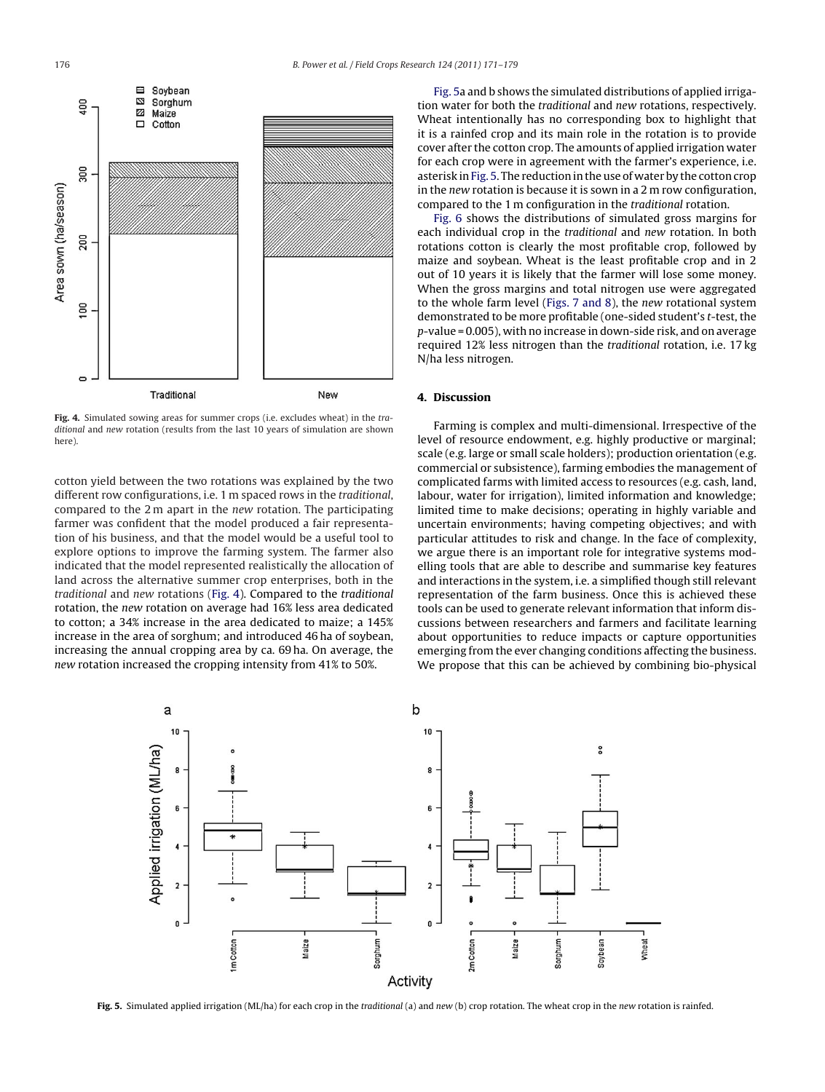

**Fig. 4.** Simulated sowing areas for summer crops (i.e. excludes wheat) in the traditional and new rotation (results from the last 10 years of simulation are shown here).

cotton yield between the two rotations was explained by the two different row configurations, i.e. 1 m spaced rows in the traditional, compared to the 2 m apart in the new rotation. The participating farmer was confident that the model produced a fair representation of his business, and that the model would be a useful tool to explore options to improve the farming system. The farmer also indicated that the model represented realistically the allocation of land across the alternative summer crop enterprises, both in the traditional and new rotations (Fig. 4). Compared to the traditional rotation, the new rotation on average had 16% less area dedicated to cotton; a 34% increase in the area dedicated to maize; a 145% increase in the area of sorghum; and introduced 46 ha of soybean, increasing the annual cropping area by ca. 69 ha. On average, the new rotation increased the cropping intensity from 41% to 50%.

Fig. 5a and b shows the simulated distributions of applied irrigation water for both the traditional and new rotations, respectively. Wheat intentionally has no corresponding box to highlight that it is a rainfed crop and its main role in the rotation is to provide cover after the cotton crop. The amounts of applied irrigation water for each crop were in agreement with the farmer's experience, i.e. asterisk in Fig. 5. The reduction in the use of water by the cotton crop in the new rotation is because it is sown in a 2 m row configuration, compared to the 1 m configuration in the traditional rotation.

[Fig. 6](#page-6-0) shows the distributions of simulated gross margins for each individual crop in the traditional and new rotation. In both rotations cotton is clearly the most profitable crop, followed by maize and soybean. Wheat is the least profitable crop and in 2 out of 10 years it is likely that the farmer will lose some money. When the gross margins and total nitrogen use were aggregated to the whole farm level [\(Figs. 7 and 8\),](#page-6-0) the new rotational system demonstrated to be more profitable (one-sided student's t-test, the p-value = 0.005), with no increase in down-side risk, and on average required 12% less nitrogen than the traditional rotation, i.e. 17 kg N/ha less nitrogen.

## **4. Discussion**

Farming is complex and multi-dimensional. Irrespective of the level of resource endowment, e.g. highly productive or marginal; scale (e.g. large or small scale holders); production orientation (e.g. commercial or subsistence), farming embodies the management of complicated farms with limited access to resources (e.g. cash, land, labour, water for irrigation), limited information and knowledge; limited time to make decisions; operating in highly variable and uncertain environments; having competing objectives; and with particular attitudes to risk and change. In the face of complexity, we argue there is an important role for integrative systems modelling tools that are able to describe and summarise key features and interactions in the system, i.e. a simplified though still relevant representation of the farm business. Once this is achieved these tools can be used to generate relevant information that inform discussions between researchers and farmers and facilitate learning about opportunities to reduce impacts or capture opportunities emerging from the ever changing conditions affecting the business. We propose that this can be achieved by combining bio-physical



**Fig. 5.** Simulated applied irrigation (ML/ha) for each crop in the traditional (a) and new (b) crop rotation. The wheat crop in the new rotation is rainfed.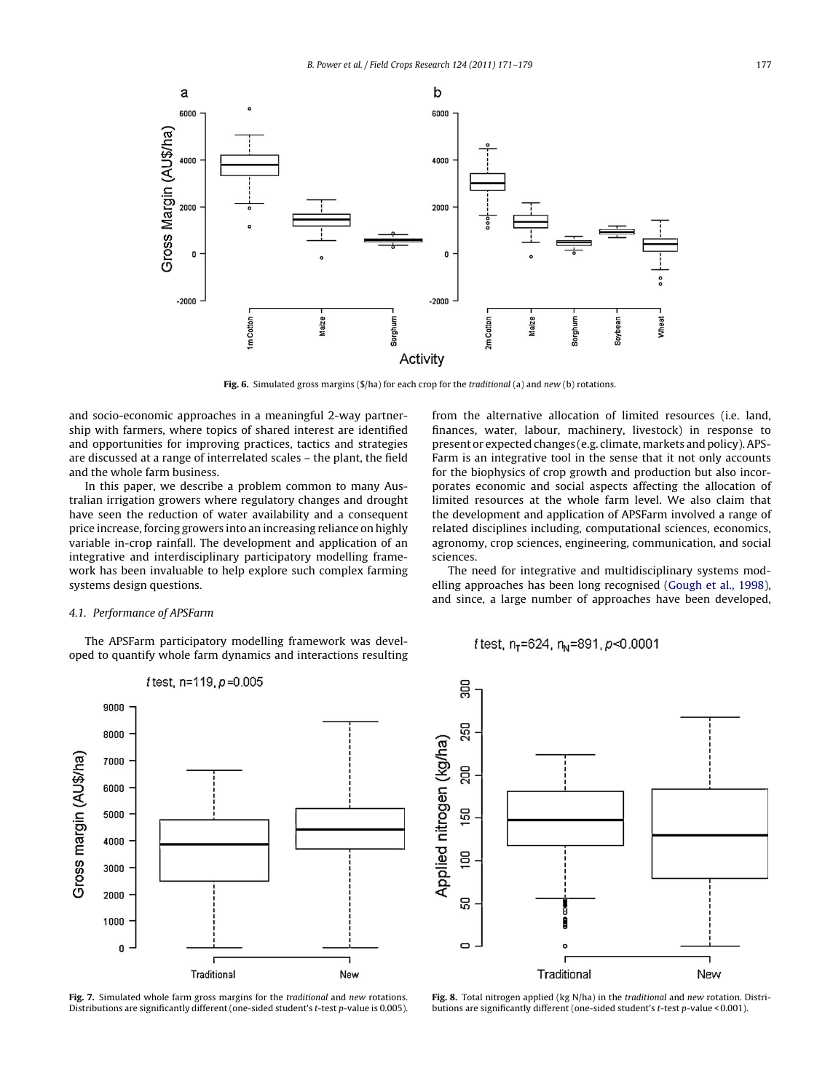<span id="page-6-0"></span>

Fig. 6. Simulated gross margins (\$/ha) for each crop for the *traditional* (a) and *new* (b) rotations.

and socio-economic approaches in a meaningful 2-way partnership with farmers, where topics of shared interest are identified and opportunities for improving practices, tactics and strategies are discussed at a range of interrelated scales – the plant, the field and the whole farm business.

In this paper, we describe a problem common to many Australian irrigation growers where regulatory changes and drought have seen the reduction of water availability and a consequent price increase, forcing growers into an increasing reliance on highly variable in-crop rainfall. The development and application of an integrative and interdisciplinary participatory modelling framework has been invaluable to help explore such complex farming systems design questions.

#### 4.1. Performance of APSFarm

The APSFarm participatory modelling framework was developed to quantify whole farm dynamics and interactions resulting



**Fig. 7.** Simulated whole farm gross margins for the traditional and new rotations. Distributions are significantly different (one-sided student's t-test p-value is 0.005).

from the alternative allocation of limited resources (i.e. land, finances, water, labour, machinery, livestock) in response to present or expected changes (e.g. climate, markets and policy). APS-Farm is an integrative tool in the sense that it not only accounts for the biophysics of crop growth and production but also incorporates economic and social aspects affecting the allocation of limited resources at the whole farm level. We also claim that the development and application of APSFarm involved a range of related disciplines including, computational sciences, economics, agronomy, crop sciences, engineering, communication, and social sciences.

The need for integrative and multidisciplinary systems modelling approaches has been long recognised ([Gough et al., 1998\),](#page-7-0) and since, a large number of approaches have been developed,

f test, n<sub>r</sub>=624, n<sub>N</sub>=891, p<0.0001



**Fig. 8.** Total nitrogen applied (kg N/ha) in the traditional and new rotation. Distributions are significantly different (one-sided student's t-test p-value < 0.001).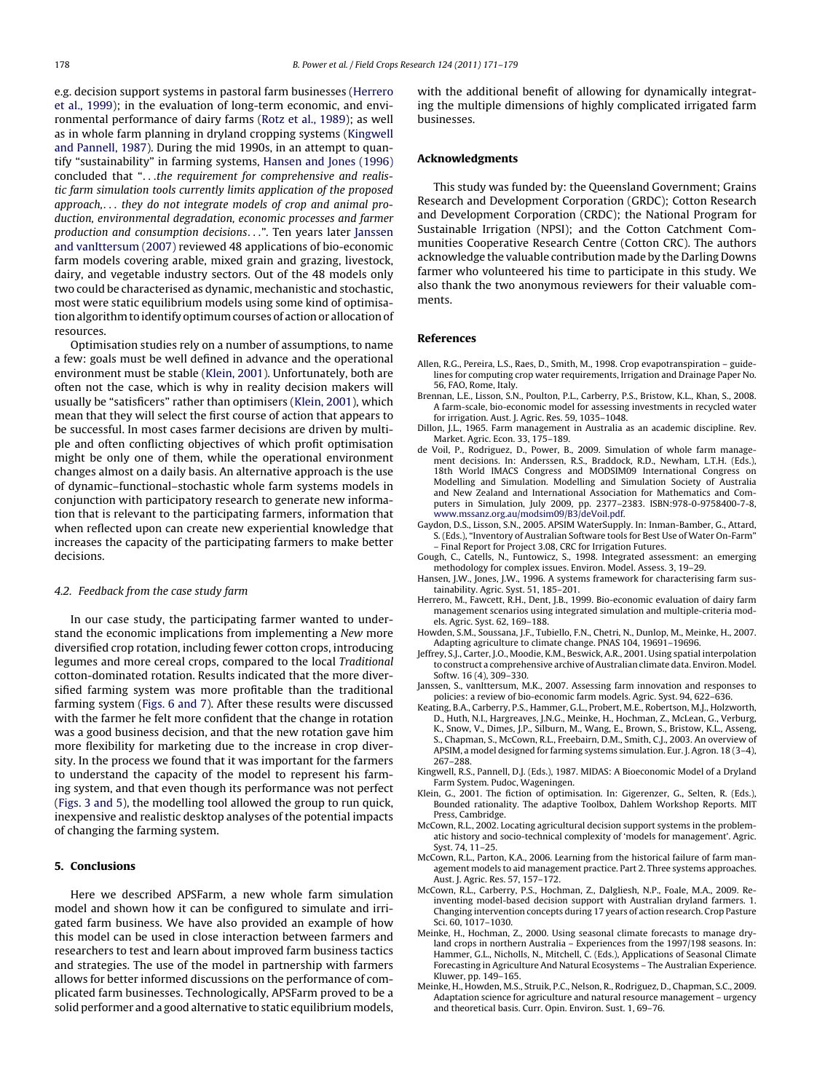<span id="page-7-0"></span>e.g. decision support systems in pastoral farm businesses (Herrero et al., 1999); in the evaluation of long-term economic, and environmental performance of dairy farms ([Rotz et al., 1989\);](#page-8-0) as well as in whole farm planning in dryland cropping systems (Kingwell and Pannell, 1987). During the mid 1990s, in an attempt to quantify "sustainability" in farming systems, Hansen and Jones (1996) concluded that "...the requirement for comprehensive and realistic farm simulation tools currently limits application of the proposed approach,... they do not integrate models of crop and animal production, environmental degradation, economic processes and farmer production and consumption decisions...". Ten years later Janssen and vanIttersum (2007) reviewed 48 applications of bio-economic farm models covering arable, mixed grain and grazing, livestock, dairy, and vegetable industry sectors. Out of the 48 models only two could be characterised as dynamic, mechanistic and stochastic, most were static equilibrium models using some kind of optimisation algorithm to identify optimum courses of action or allocation of resources.

Optimisation studies rely on a number of assumptions, to name a few: goals must be well defined in advance and the operational environment must be stable (Klein, 2001). Unfortunately, both are often not the case, which is why in reality decision makers will usually be "satisficers" rather than optimisers (Klein, 2001), which mean that they will select the first course of action that appears to be successful. In most cases farmer decisions are driven by multiple and often conflicting objectives of which profit optimisation might be only one of them, while the operational environment changes almost on a daily basis. An alternative approach is the use of dynamic–functional–stochastic whole farm systems models in conjunction with participatory research to generate new information that is relevant to the participating farmers, information that when reflected upon can create new experiential knowledge that increases the capacity of the participating farmers to make better decisions.

#### 4.2. Feedback from the case study farm

In our case study, the participating farmer wanted to understand the economic implications from implementing a New more diversified crop rotation, including fewer cotton crops, introducing legumes and more cereal crops, compared to the local Traditional cotton-dominated rotation. Results indicated that the more diversified farming system was more profitable than the traditional farming system [\(Figs. 6 and 7\).](#page-6-0) After these results were discussed with the farmer he felt more confident that the change in rotation was a good business decision, and that the new rotation gave him more flexibility for marketing due to the increase in crop diversity. In the process we found that it was important for the farmers to understand the capacity of the model to represent his farming system, and that even though its performance was not perfect ([Figs. 3 and 5\),](#page-4-0) the modelling tool allowed the group to run quick, inexpensive and realistic desktop analyses of the potential impacts of changing the farming system.

## **5. Conclusions**

Here we described APSFarm, a new whole farm simulation model and shown how it can be configured to simulate and irrigated farm business. We have also provided an example of how this model can be used in close interaction between farmers and researchers to test and learn about improved farm business tactics and strategies. The use of the model in partnership with farmers allows for better informed discussions on the performance of complicated farm businesses. Technologically, APSFarm proved to be a solid performer and a good alternative to static equilibrium models, with the additional benefit of allowing for dynamically integrating the multiple dimensions of highly complicated irrigated farm businesses.

#### **Acknowledgments**

This study was funded by: the Queensland Government; Grains Research and Development Corporation (GRDC); Cotton Research and Development Corporation (CRDC); the National Program for Sustainable Irrigation (NPSI); and the Cotton Catchment Communities Cooperative Research Centre (Cotton CRC). The authors acknowledge the valuable contribution made by the Darling Downs farmer who volunteered his time to participate in this study. We also thank the two anonymous reviewers for their valuable comments.

#### **References**

- Allen, R.G., Pereira, L.S., Raes, D., Smith, M., 1998. Crop evapotranspiration guidelines for computing crop water requirements, Irrigation and Drainage Paper No. 56, FAO, Rome, Italy.
- Brennan, L.E., Lisson, S.N., Poulton, P.L., Carberry, P.S., Bristow, K.L., Khan, S., 2008. A farm-scale, bio-economic model for assessing investments in recycled water for irrigation. Aust. J. Agric. Res. 59, 1035–1048.
- Dillon, J.L., 1965. Farm management in Australia as an academic discipline. Rev. Market. Agric. Econ. 33, 175–189.
- Voil, P., Rodriguez, D., Power, B., 2009. Simulation of whole farm management decisions. In: Anderssen, R.S., Braddock, R.D., Newham, L.T.H. (Eds.), 18th World IMACS Congress and MODSIM09 International Congress on Modelling and Simulation. Modelling and Simulation Society of Australia and New Zealand and International Association for Mathematics and Computers in Simulation, July 2009, pp. 2377–2383. ISBN:978-0-9758400-7-8, [www.mssanz.org.au/modsim09/B3/deVoil.pdf](http://www.mssanz.org.au/modsim09/B3/deVoil.pdf).
- Gaydon, D.S., Lisson, S.N., 2005. APSIM WaterSupply. In: Inman-Bamber, G., Attard, S. (Eds.), "Inventory of Australian Software tools for Best Use of Water On-Farm" – Final Report for Project 3.08, CRC for Irrigation Futures.
- Gough, C., Catells, N., Funtowicz, S., 1998. Integrated assessment: an emerging methodology for complex issues. Environ. Model. Assess. 3, 19–29.
- Hansen, J.W., Jones, J.W., 1996. A systems framework for characterising farm sustainability. Agric. Syst. 51, 185–201.
- Herrero, M., Fawcett, R.H., Dent, J.B., 1999. Bio-economic evaluation of dairy farm management scenarios using integrated simulation and multiple-criteria models. Agric. Syst. 62, 169–188.
- Howden, S.M., Soussana, J.F., Tubiello, F.N., Chetri, N., Dunlop, M., Meinke, H., 2007. Adapting agriculture to climate change. PNAS 104, 19691–19696.
- Jeffrey, S.J., Carter, J.O., Moodie, K.M., Beswick, A.R., 2001. Using spatial interpolation to construct a comprehensive archive of Australian climate data. Environ. Model. Softw. 16 (4), 309–330.
- Janssen, S., vanIttersum, M.K., 2007. Assessing farm innovation and responses to policies: a review of bio-economic farm models. Agric. Syst. 94, 622–636.
- Keating, B.A., Carberry, P.S., Hammer, G.L., Probert, M.E., Robertson, M.J., Holzworth, D., Huth, N.I., Hargreaves, J.N.G., Meinke, H., Hochman, Z., McLean, G., Verburg, K., Snow, V., Dimes, J.P., Silburn, M., Wang, E., Brown, S., Bristow, K.L., Asseng, S., Chapman, S., McCown, R.L., Freebairn, D.M., Smith, C.J., 2003. An overview of APSIM, a model designed for farming systems simulation. Eur. J. Agron. 18 (3–4), 267–288.
- Kingwell, R.S., Pannell, D.J. (Eds.), 1987. MIDAS: A Bioeconomic Model of a Dryland Farm System. Pudoc, Wageningen.
- Klein, G., 2001. The fiction of optimisation. In: Gigerenzer, G., Selten, R. (Eds.), Bounded rationality. The adaptive Toolbox, Dahlem Workshop Reports. MIT Press, Cambridge.
- McCown, R.L., 2002. Locating agricultural decision support systems in the problematic history and socio-technical complexity of 'models for management'. Agric. Syst. 74, 11–25.
- McCown, R.L., Parton, K.A., 2006. Learning from the historical failure of farm management models to aid management practice. Part 2. Three systems approaches. Aust. J. Agric. Res. 57, 157–172.
- McCown, R.L., Carberry, P.S., Hochman, Z., Dalgliesh, N.P., Foale, M.A., 2009. Reinventing model-based decision support with Australian dryland farmers. 1. Changing intervention concepts during 17 years of action research. Crop Pasture Sci. 60, 1017–1030.
- Meinke, H., Hochman, Z., 2000. Using seasonal climate forecasts to manage dryland crops in northern Australia – Experiences from the 1997/198 seasons. In: Hammer, G.L., Nicholls, N., Mitchell, C. (Eds.), Applications of Seasonal Climate Forecasting in Agriculture And Natural Ecosystems – The Australian Experience. Kluwer, pp. 149–165.
- Meinke, H., Howden, M.S., Struik, P.C., Nelson, R., Rodriguez, D., Chapman, S.C., 2009. Adaptation science for agriculture and natural resource management – urgency and theoretical basis. Curr. Opin. Environ. Sust. 1, 69–76.